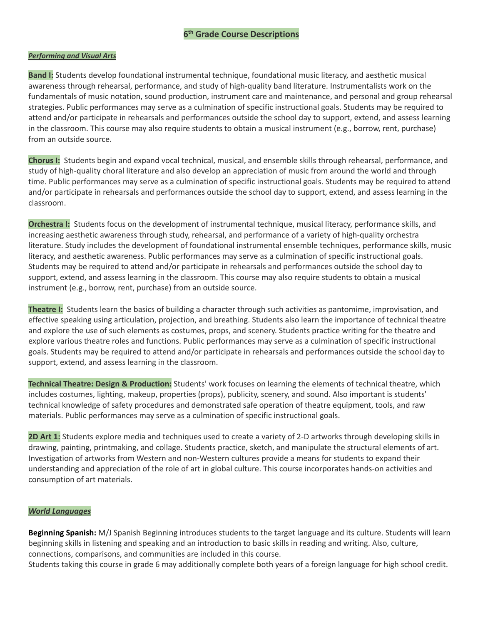# **6 th Grade Course Descriptions**

#### *Performing and Visual Arts*

**Band I:** Students develop foundational instrumental technique, foundational music literacy, and aesthetic musical awareness through rehearsal, performance, and study of high-quality band literature. Instrumentalists work on the fundamentals of music notation, sound production, instrument care and maintenance, and personal and group rehearsal strategies. Public performances may serve as a culmination of specific instructional goals. Students may be required to attend and/or participate in rehearsals and performances outside the school day to support, extend, and assess learning in the classroom. This course may also require students to obtain a musical instrument (e.g., borrow, rent, purchase) from an outside source.

**Chorus I:** Students begin and expand vocal technical, musical, and ensemble skills through rehearsal, performance, and study of high-quality choral literature and also develop an appreciation of music from around the world and through time. Public performances may serve as a culmination of specific instructional goals. Students may be required to attend and/or participate in rehearsals and performances outside the school day to support, extend, and assess learning in the classroom.

**Orchestra I:** Students focus on the development of instrumental technique, musical literacy, performance skills, and increasing aesthetic awareness through study, rehearsal, and performance of a variety of high-quality orchestra literature. Study includes the development of foundational instrumental ensemble techniques, performance skills, music literacy, and aesthetic awareness. Public performances may serve as a culmination of specific instructional goals. Students may be required to attend and/or participate in rehearsals and performances outside the school day to support, extend, and assess learning in the classroom. This course may also require students to obtain a musical instrument (e.g., borrow, rent, purchase) from an outside source.

**Theatre I:** Students learn the basics of building a character through such activities as pantomime, improvisation, and effective speaking using articulation, projection, and breathing. Students also learn the importance of technical theatre and explore the use of such elements as costumes, props, and scenery. Students practice writing for the theatre and explore various theatre roles and functions. Public performances may serve as a culmination of specific instructional goals. Students may be required to attend and/or participate in rehearsals and performances outside the school day to support, extend, and assess learning in the classroom.

**Technical Theatre: Design & Production:** Students' work focuses on learning the elements of technical theatre, which includes costumes, lighting, makeup, properties (props), publicity, scenery, and sound. Also important is students' technical knowledge of safety procedures and demonstrated safe operation of theatre equipment, tools, and raw materials. Public performances may serve as a culmination of specific instructional goals.

**2D Art 1:** Students explore media and techniques used to create a variety of 2-D artworks through developing skills in drawing, painting, printmaking, and collage. Students practice, sketch, and manipulate the structural elements of art. Investigation of artworks from Western and non-Western cultures provide a means for students to expand their understanding and appreciation of the role of art in global culture. This course incorporates hands-on activities and consumption of art materials.

### *World Languages*

**Beginning Spanish:** M/J Spanish Beginning introduces students to the target language and its culture. Students will learn beginning skills in listening and speaking and an introduction to basic skills in reading and writing. Also, culture, connections, comparisons, and communities are included in this course.

Students taking this course in grade 6 may additionally complete both years of a foreign language for high school credit.